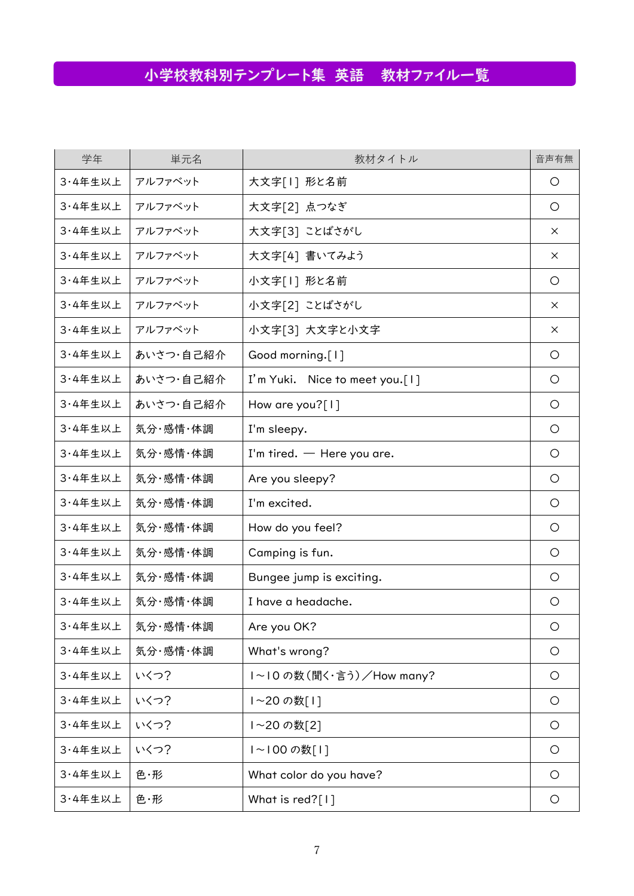## 小学校教科別テンプレート集 英語 教材ファイル一覧

| 学年      | 単元名       | 教材タイトル                          | 音声有無     |
|---------|-----------|---------------------------------|----------|
| 3·4年生以上 | アルファベット   | 大文字[1] 形と名前                     | O        |
| 3·4年生以上 | アルファベット   | 大文字[2] 点つなぎ                     | $\circ$  |
| 3·4年生以上 | アルファベット   | 大文字[3] ことばさがし                   | $\times$ |
| 3·4年生以上 | アルファベット   | 大文字[4] 書いてみよう                   | $\times$ |
| 3·4年生以上 | アルファベット   | 小文字[1] 形と名前                     | O        |
| 3·4年生以上 | アルファベット   | 小文字[2] ことばさがし                   | $\times$ |
| 3·4年生以上 | アルファベット   | 小文字[3] 大文字と小文字                  | $\times$ |
| 3·4年生以上 | あいさつ・自己紹介 | Good morning.[1]                | O        |
| 3·4年生以上 | あいさつ・自己紹介 | I'm Yuki. Nice to meet you. [1] | $\circ$  |
| 3·4年生以上 | あいさつ・自己紹介 | How are you? $[1]$              | O        |
| 3·4年生以上 | 気分·感情·体調  | I'm sleepy.                     | O        |
| 3·4年生以上 | 気分·感情·体調  | I'm tired. $-$ Here you are.    | O        |
| 3·4年生以上 | 気分·感情·体調  | Are you sleepy?                 | $\circ$  |
| 3·4年生以上 | 気分·感情·体調  | I'm excited.                    | O        |
| 3·4年生以上 | 気分·感情·体調  | How do you feel?                | $\circ$  |
| 3·4年生以上 | 気分·感情·体調  | Camping is fun.                 | $\circ$  |
| 3·4年生以上 | 気分·感情·体調  | Bungee jump is exciting.        | $\circ$  |
| 3·4年生以上 | 気分·感情·体調  | I have a headache.              | O        |
| 3·4年生以上 | 気分·感情·体調  | Are you OK?                     | $\circ$  |
| 3·4年生以上 | 気分·感情·体調  | What's wrong?                   | O        |
| 3·4年生以上 | いくつ?      | I~I0の数(聞く・言う)/How many?         | $\circ$  |
| 3·4年生以上 | いくつ?      | ~20の数[1]                        | O        |
| 3·4年生以上 | いくつ?      | ~20の数[2]                        | $\circ$  |
| 3·4年生以上 | いくつ?      | ~ 00の数[1]                       | $\circ$  |
| 3·4年生以上 | 色・形       | What color do you have?         | O        |
| 3·4年生以上 | 色・形       | What is red?[1]                 | $\circ$  |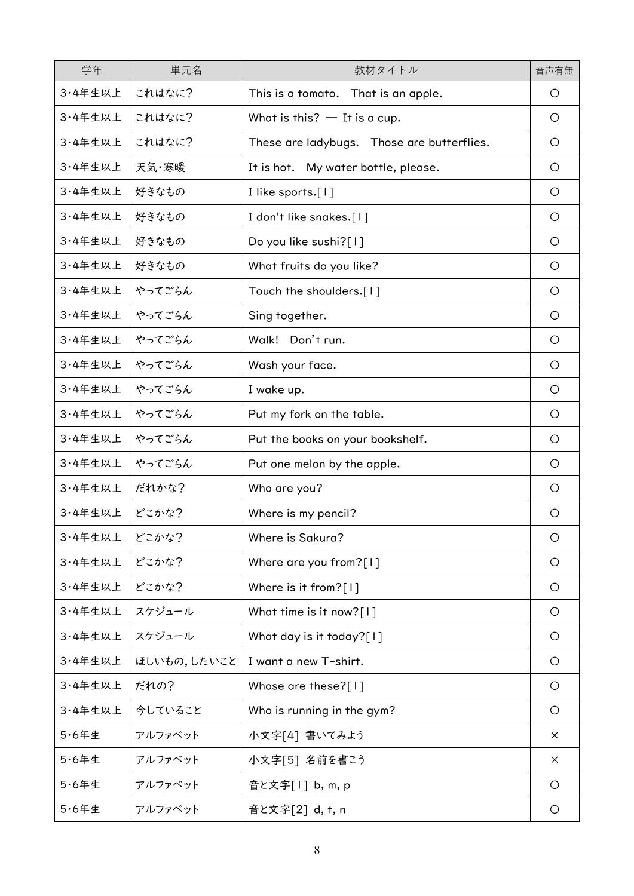| 学年       | 単元名         | 教材タイトル                                     | 音声有無       |
|----------|-------------|--------------------------------------------|------------|
| 3·4年生以上  | これはなに?      | This is a tomato. That is an apple.        | O          |
| 3·4年生以上  | これはなに?      | What is this? $-$ It is a cup.             | O          |
| 3·4年生以上  | これはなに?      | These are ladybugs. Those are butterflies. | O          |
| 3·4年生以上  | 天気·寒暖       | It is hot. My water bottle, please.        | $\circ$    |
| 3·4年生以上  | 好きなもの       | I like sports.[1]                          | O          |
| 3·4年生以上  | 好きなもの       | I don't like snakes.[1]                    | O          |
| 3·4年生以上  | 好きなもの       | Do you like sushi?[1]                      | O          |
| 3·4年生以上  | 好きなもの       | What fruits do you like?                   | $\circ$    |
| 3·4年生以上  | やってごらん      | Touch the shoulders.[1]                    | $\circ$    |
| 3·4年生以上  | やってごらん      | Sing together.                             | O          |
| 3·4年生以上  | やってごらん      | Walk! Don't run.                           | $\bigcirc$ |
| 3·4年生以上  | やってごらん      | Wash your face.                            | $\circ$    |
| 3·4年生以上  | やってごらん      | I wake up.                                 | $\bigcirc$ |
| 3·4年生以上  | やってごらん      | Put my fork on the table.                  | $\bigcirc$ |
| 3·4年生以上  | やってごらん      | Put the books on your bookshelf.           | O          |
| 3·4年生以上  | やってごらん      | Put one melon by the apple.                | O          |
| 3·4年生以上  | だれかな?       | Who are you?                               | O          |
| 3·4年生以上  | どこかな?       | Where is my pencil?                        | O          |
| 3·4年生以上  | どこかな?       | Where is Sakura?                           | $\circ$    |
| 3·4年生以上  | どこかな?       | Where are you from?[1]                     | $\circ$    |
| 3·4年生以上  | どこかな?       | Where is it from? $[1]$                    | O          |
| 3·4年生以上  | スケジュール      | What time is it now?[1]                    | O          |
| 3·4年生以上  | スケジュール      | What day is it today?[1]                   | $\circ$    |
| 3·4年生以上  | ほしいもの,したいこと | I want a new T-shirt.                      | $\circ$    |
| 3·4年生以上  | だれの?        | Whose are these?[1]                        | $\circ$    |
| 3·4年生以上  | 今していること     | Who is running in the gym?                 | $\circ$    |
| $5.6$ 年生 | アルファベット     | 小文字[4] 書いてみよう                              | $\times$   |
| $5.6$ 年生 | アルファベット     | 小文字[5] 名前を書こう                              | $\times$   |
| $5.6$ 年生 | アルファベット     | 音と文字[1] b, m, p                            | O          |
| $5.6$ 年生 | アルファベット     | 音と文字[2] d, t, n                            | O          |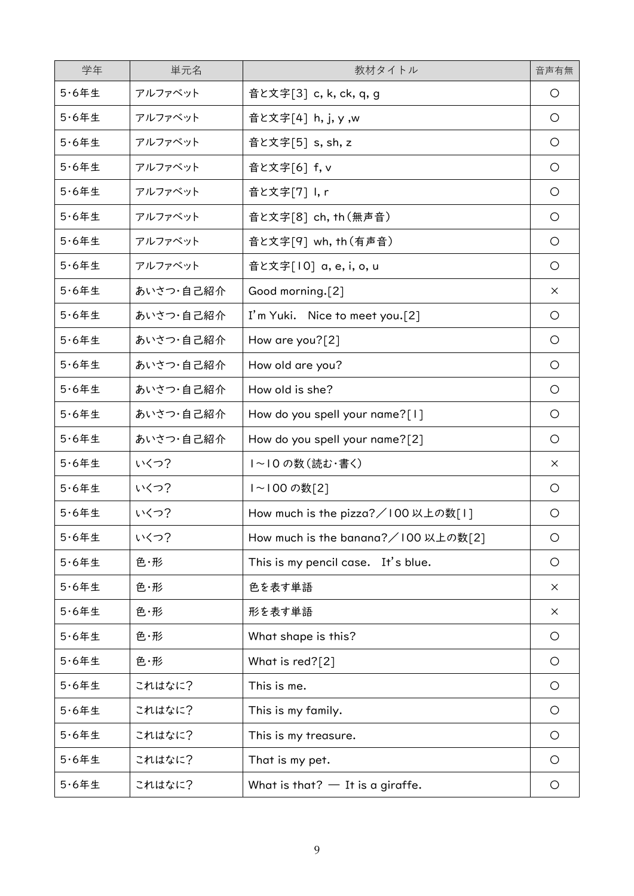| 学年           | 単元名       | 教材タイトル                              | 音声有無       |
|--------------|-----------|-------------------------------------|------------|
| $5.6$ 年生     | アルファベット   | 音と文字[3] c, k, ck, q, g              | $\circ$    |
| $5.6$ 年生     | アルファベット   | 音と文字[4] h, j, y, w                  | $\circ$    |
| $5.6$ 年生     | アルファベット   | 音と文字[5] s, sh, z                    | $\circ$    |
| $5.6$ 年生     | アルファベット   | 音と文字[6] f, v                        | $\circ$    |
| $5.6$ 年生     | アルファベット   | 音と文字[7] I, r                        | $\circ$    |
| $5.6$ 年生     | アルファベット   | 音と文字[8] ch, th (無声音)                | $\circ$    |
| $5.6$ 年生     | アルファベット   | 音と文字[9] wh, th (有声音)                | $\circ$    |
| $5.6$ 年生     | アルファベット   | 音と文字[10] a, e, i, o, u              | $\circ$    |
| $5.6$ 年生     | あいさつ・自己紹介 | Good morning.[2]                    | $\times$   |
| $5.6$ 年生     | あいさつ・自己紹介 | I'm Yuki. Nice to meet you.[2]      | $\circ$    |
| $5.6$ 年生     | あいさつ・自己紹介 | How are you?[2]                     | $\circ$    |
| $5.64 \pm 1$ | あいさつ・自己紹介 | How old are you?                    | $\circ$    |
| $5.6$ 年生     | あいさつ・自己紹介 | How old is she?                     | $\circ$    |
| $5.6$ 年生     | あいさつ・自己紹介 | How do you spell your name?[1]      | $\circ$    |
| $5.6$ 年生     | あいさつ・自己紹介 | How do you spell your name?[2]      | $\circ$    |
| $5.6$ 年生     | いくつ?      | ~ 0の数(読む・書く)                        | $\times$   |
| $5.6$ 年生     | いくつ?      | ~ 00の数[2]                           | $\circ$    |
| $5.6$ 年生     | いくつ?      | How much is the pizza?/100 以上の数[1]  | $\circ$    |
| $5.6$ 年生     | いくつ?      | How much is the banana?/100 以上の数[2] | $\bigcirc$ |
| $5.6$ 年生     | 色·形       | This is my pencil case. It's blue.  | $\circ$    |
| $5.6$ 年生     | 色・形       | 色を表す単語                              | $\times$   |
| $5.6$ 年生     | 色・形       | 形を表す単語                              | $\times$   |
| $5.6$ 年生     | 色・形       | What shape is this?                 | $\circ$    |
| $5.6$ 年生     | 色・形       | What is red?[2]                     | $\circ$    |
| $5.6$ 年生     | これはなに?    | This is me.                         | $\circ$    |
| $5.6$ 年生     | これはなに?    | This is my family.                  | $\circ$    |
| $5.6$ 年生     | これはなに?    | This is my treasure.                | $\circ$    |
| $5.6$ 年生     | これはなに?    | That is my pet.                     | $\circ$    |
| $5.6$ 年生     | これはなに?    | What is that? $-$ It is a giraffe.  | $\circ$    |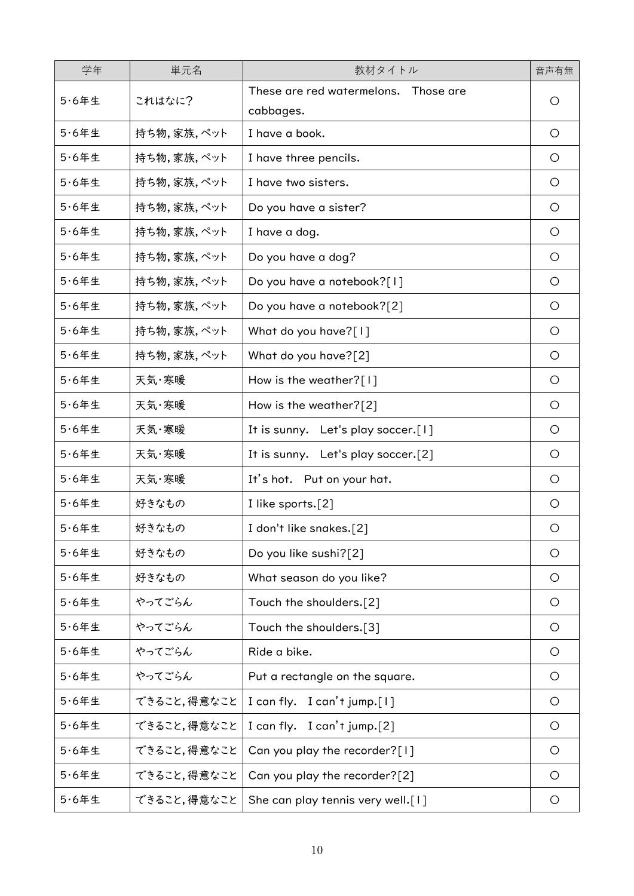| 学年       | 単元名         | 教材タイトル                                            | 音声有無    |
|----------|-------------|---------------------------------------------------|---------|
| $5.6$ 年生 | これはなに?      | These are red watermelons. Those are<br>cabbages. | O       |
| $5.6$ 年生 | 持ち物,家族,ペット  | I have a book.                                    | $\circ$ |
| $5.6$ 年生 | 持ち物,家族,ペット  | I have three pencils.                             | O       |
| $5.6$ 年生 | 持ち物,家族,ペット  | I have two sisters.                               | $\circ$ |
| $5.6$ 年生 | 持ち物,家族,ペット  | Do you have a sister?                             | $\circ$ |
| $5.6$ 年生 | 持ち物,家族,ペット  | I have a dog.                                     | $\circ$ |
| $5.6$ 年生 | 持ち物,家族,ペット  | Do you have a dog?                                | $\circ$ |
| $5.6$ 年生 | 持ち物,家族,ペット  | Do you have a notebook?[1]                        | $\circ$ |
| $5.6$ 年生 | 持ち物,家族,ペット  | Do you have a notebook?[2]                        | $\circ$ |
| $5.6$ 年生 | 持ち物,家族,ペット  | What do you have?[1]                              | $\circ$ |
| $5.6$ 年生 | 持ち物,家族,ペット  | What do you have?[2]                              | O       |
| $5.6$ 年生 | 天気・寒暖       | How is the weather?[1]                            | $\circ$ |
| $5.6$ 年生 | 天気・寒暖       | How is the weather?[2]                            | $\circ$ |
| $5.6$ 年生 | 天気・寒暖       | It is sunny. Let's play soccer.[1]                | O       |
| $5.6$ 年生 | 天気・寒暖       | It is sunny. Let's play soccer.[2]                | $\circ$ |
| $5.6$ 年生 | 天気・寒暖       | It's hot. Put on your hat.                        | $\circ$ |
| $5.6$ 年生 | 好きなもの       | I like sports.[2]                                 | $\circ$ |
| $5.6$ 年生 | 好きなもの       | I don't like snakes.[2]                           | O       |
| $5.6$ 年生 | 好きなもの       | Do you like sushi?[2]                             | $\circ$ |
| $5.6$ 年生 | 好きなもの       | What season do you like?                          | O       |
| $5.6$ 年生 | やってごらん      | Touch the shoulders.[2]                           | $\circ$ |
| $5.6$ 年生 | やってごらん      | Touch the shoulders.[3]                           | $\circ$ |
| $5.6$ 年生 | やってごらん      | Ride a bike.                                      | $\circ$ |
| $5.6$ 年生 | やってごらん      | Put a rectangle on the square.                    | $\circ$ |
| $5.6$ 年生 | できること,得意なこと | I can fly. I can't jump.[1]                       | $\circ$ |
| $5.6$ 年生 | できること,得意なこと | I can fly.<br>$I$ can't jump. $[2]$               | $\circ$ |
| $5.6$ 年生 | できること,得意なこと | Can you play the recorder?[1]                     | $\circ$ |
| $5.6$ 年生 | できること,得意なこと | Can you play the recorder?[2]                     | $\circ$ |
| $5.6$ 年生 | できること,得意なこと | She can play tennis very well.[1]                 | $\circ$ |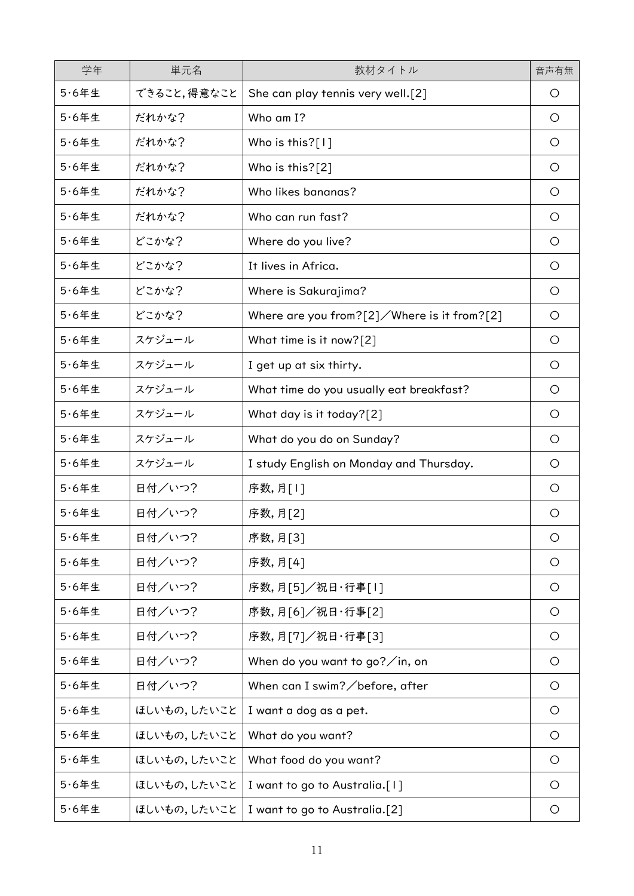| 学年       | 単元名         | 教材タイトル                                              | 音声有無       |
|----------|-------------|-----------------------------------------------------|------------|
| $5.6$ 年生 | できること,得意なこと | She can play tennis very well.[2]                   | O          |
| $5.6$ 年生 | だれかな?       | Who am I?                                           | O          |
| $5.6$ 年生 | だれかな?       | Who is this?[1]                                     | $\circ$    |
| $5.6$ 年生 | だれかな?       | Who is this?[2]                                     | $\circ$    |
| $5.6$ 年生 | だれかな?       | Who likes bananas?                                  | $\circ$    |
| $5.6$ 年生 | だれかな?       | Who can run fast?                                   | $\circ$    |
| $5.6$ 年生 | どこかな?       | Where do you live?                                  | O          |
| $5.6$ 年生 | どこかな?       | It lives in Africa.                                 | $\circ$    |
| $5.6$ 年生 | どこかな?       | Where is Sakurajima?                                | $\circ$    |
| $5.6$ 年生 | どこかな?       | Where are you from? $[2]$ / Where is it from? $[2]$ | O          |
| $5.6$ 年生 | スケジュール      | What time is it now?[2]                             | $\circ$    |
| $5.6$ 年生 | スケジュール      | I get up at six thirty.                             | $\circ$    |
| $5.6$ 年生 | スケジュール      | What time do you usually eat breakfast?             | $\circ$    |
| $5.6$ 年生 | スケジュール      | What day is it today?[2]                            | $\circ$    |
| $5.6$ 年生 | スケジュール      | What do you do on Sunday?                           | $\circ$    |
| $5.6$ 年生 | スケジュール      | I study English on Monday and Thursday.             | $\circ$    |
| $5.6$ 年生 | 日付/いつ?      | 序数,月[1]                                             | $\circ$    |
| $5.6$ 年生 | 日付/いつ?      | 序数,月[2]                                             | O          |
| $5.6$ 年生 | 日付/いつ?      | 序数,月[3]                                             | $\circ$    |
| $5.6$ 年生 | 日付/いつ?      | 序数,月[4]                                             | $\circ$    |
| $5.6$ 年生 | 日付/いつ?      | 序数,月[5]/祝日·行事[1]                                    | $\bigcirc$ |
| $5.6$ 年生 | 日付/いつ?      | 序数,月[6]/祝日·行事[2]                                    | $\circ$    |
| $5.6$ 年生 | 日付/いつ?      | 序数,月[7]/祝日·行事[3]                                    | $\circ$    |
| $5.6$ 年生 | 日付/いつ?      | When do you want to go? $\sqrt{}$ in, on            | $\circ$    |
| $5.6$ 年生 | 日付/いつ?      | When can I swim? $\angle$ before, after             | $\circ$    |
| $5.6$ 年生 | ほしいもの,したいこと | I want a dog as a pet.                              | $\circ$    |
| $5.6$ 年生 | ほしいもの,したいこと | What do you want?                                   | $\circ$    |
| $5.6$ 年生 | ほしいもの,したいこと | What food do you want?                              | $\circ$    |
| $5.6$ 年生 | ほしいもの,したいこと | I want to go to Australia.[1]                       | O          |
| $5.6$ 年生 | ほしいもの,したいこと | I want to go to Australia.[2]                       | O          |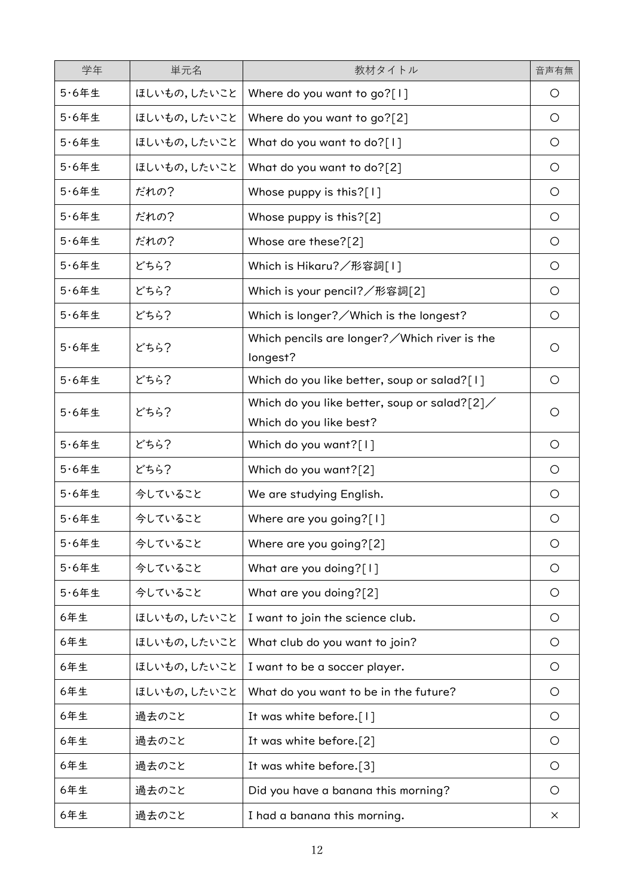| 学年           | 単元名         | 教材タイトル                                                                    | 音声有無       |
|--------------|-------------|---------------------------------------------------------------------------|------------|
| $5.6$ 年生     | ほしいもの,したいこと | Where do you want to go?[1]                                               | O          |
| $5.6$ 年生     | ほしいもの,したいこと | Where do you want to go?[2]                                               | $\bigcirc$ |
| $5.6$ 年生     | ほしいもの,したいこと | What do you want to do?[1]                                                | $\circ$    |
| $5.6$ 年生     | ほしいもの,したいこと | What do you want to do?[2]                                                | $\circ$    |
| $5.6$ 年生     | だれの?        | Whose puppy is this?[1]                                                   | $\circ$    |
| $5.6$ 年生     | だれの?        | Whose puppy is this?[2]                                                   | $\circ$    |
| $5.6$ 年生     | だれの?        | Whose are these?[2]                                                       | $\circ$    |
| $5.6$ 年生     | どちら?        | Which is Hikaru?/形容詞[1]                                                   | $\circ$    |
| $5.6$ 年生     | どちら?        | Which is your pencil?/形容詞[2]                                              | $\circ$    |
| $5.6$ 年生     | どちら?        | Which is longer? $\angle$ Which is the longest?                           | $\circ$    |
| $5.6$ 年生     | どちら?        | Which pencils are longer? $\swarrow$ Which river is the<br>longest?       | O          |
| $5.6$ 年生     | どちら?        | Which do you like better, soup or salad?[1]                               | O          |
| $5.6$ 年生     | どちら?        | Which do you like better, soup or salad? $[2]$<br>Which do you like best? | O          |
| $5.6$ 年生     | どちら?        | Which do you want?[1]                                                     | O          |
| $5.6$ 年生     | どちら?        | Which do you want?[2]                                                     | $\circ$    |
| $5.6$ 年生     | 今していること     | We are studying English.                                                  | $\circ$    |
| $5.6$ 年生     | 今していること     | Where are you going?[1]                                                   | O          |
| $5.6$ 年生     | 今していること     | Where are you going?[2]                                                   | $\circ$    |
| $5.64 \pm 1$ | 今していること     | What are you doing?[1]                                                    | $\circ$    |
| $5.6$ 年生     | 今していること     | What are you doing?[2]                                                    | $\circ$    |
| 6年生          | ほしいもの,したいこと | I want to join the science club.                                          | $\circ$    |
| 6年生          | ほしいもの,したいこと | What club do you want to join?                                            | $\circ$    |
| 6年生          | ほしいもの,したいこと | I want to be a soccer player.                                             | $\circ$    |
| 6年生          | ほしいもの,したいこと | What do you want to be in the future?                                     | $\circ$    |
| 6年生          | 過去のこと       | It was white before.[1]                                                   | $\circ$    |
| 6年生          | 過去のこと       | It was white before.[2]                                                   | $\circ$    |
| 6年生          | 過去のこと       | It was white before.[3]                                                   | $\circ$    |
| 6年生          | 過去のこと       | Did you have a banana this morning?                                       | $\circ$    |
| 6年生          | 過去のこと       | I had a banana this morning.                                              | $\times$   |